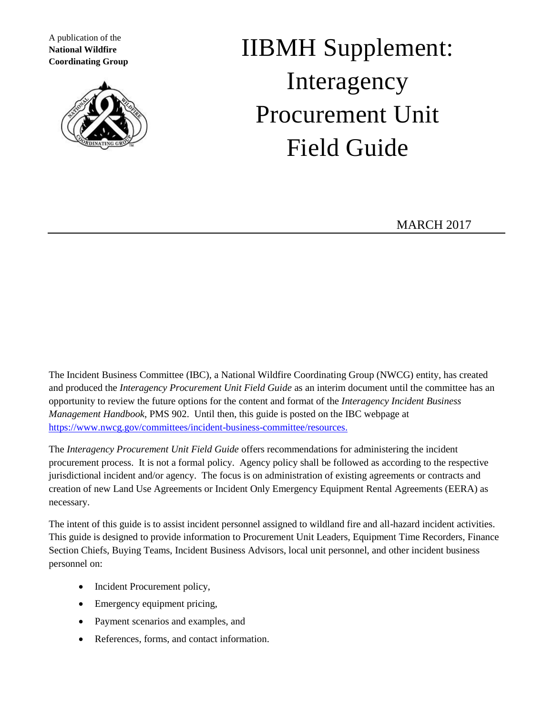A publication of the **National Wildfire Coordinating Group**



# IIBMH Supplement: Interagency Procurement Unit Field Guide

MARCH 2017

The Incident Business Committee (IBC), a National Wildfire Coordinating Group (NWCG) entity, has created and produced the *Interagency Procurement Unit Field Guide* as an interim document until the committee has an opportunity to review the future options for the content and format of the *Interagency Incident Business Management Handbook*, PMS 902. Until then, this guide is posted on the IBC webpage at [https://www.nwcg.gov/committees/incident-business-committee/resources.](https://www.nwcg.gov/committees/incident-business-committee/resources)

The *Interagency Procurement Unit Field Guide* offers recommendations for administering the incident procurement process. It is not a formal policy. Agency policy shall be followed as according to the respective jurisdictional incident and/or agency. The focus is on administration of existing agreements or contracts and creation of new Land Use Agreements or Incident Only Emergency Equipment Rental Agreements (EERA) as necessary.

The intent of this guide is to assist incident personnel assigned to wildland fire and all-hazard incident activities. This guide is designed to provide information to Procurement Unit Leaders, Equipment Time Recorders, Finance Section Chiefs, Buying Teams, Incident Business Advisors, local unit personnel, and other incident business personnel on:

- Incident Procurement policy,
- Emergency equipment pricing,
- Payment scenarios and examples, and
- References, forms, and contact information.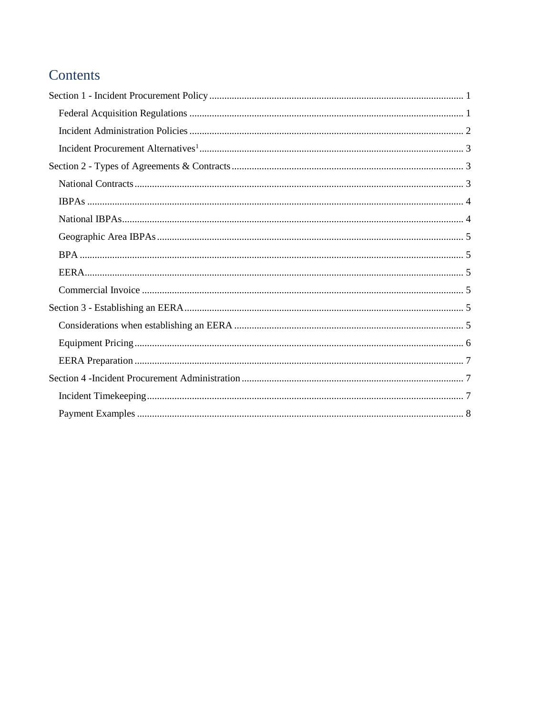# Contents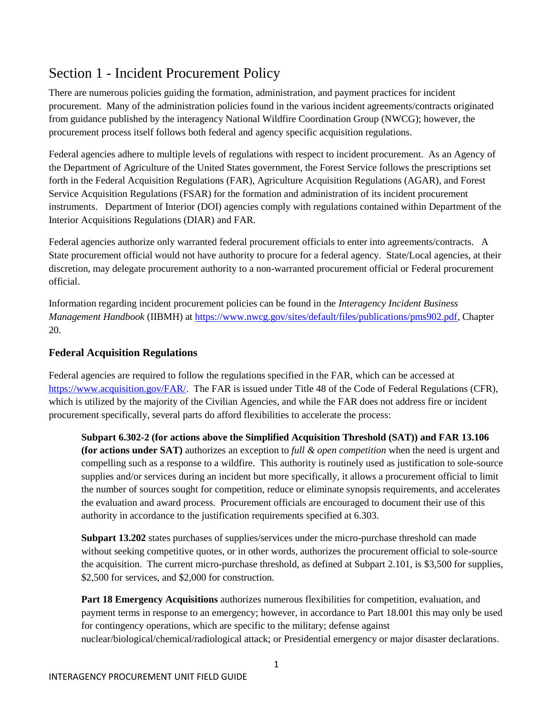# <span id="page-2-0"></span>Section 1 - Incident Procurement Policy

There are numerous policies guiding the formation, administration, and payment practices for incident procurement. Many of the administration policies found in the various incident agreements/contracts originated from guidance published by the interagency National Wildfire Coordination Group (NWCG); however, the procurement process itself follows both federal and agency specific acquisition regulations.

Federal agencies adhere to multiple levels of regulations with respect to incident procurement. As an Agency of the Department of Agriculture of the United States government, the Forest Service follows the prescriptions set forth in the Federal Acquisition Regulations (FAR), Agriculture Acquisition Regulations (AGAR), and Forest Service Acquisition Regulations (FSAR) for the formation and administration of its incident procurement instruments. Department of Interior (DOI) agencies comply with regulations contained within Department of the Interior Acquisitions Regulations (DIAR) and FAR.

Federal agencies authorize only warranted federal procurement officials to enter into agreements/contracts. A State procurement official would not have authority to procure for a federal agency. State/Local agencies, at their discretion, may delegate procurement authority to a non-warranted procurement official or Federal procurement official.

Information regarding incident procurement policies can be found in the *Interagency Incident Business Management Handbook* (IIBMH) at [https://www.nwcg.gov/sites/default/files/publications/pms902.pdf,](https://www.nwcg.gov/sites/default/files/publications/pms902.pdf) Chapter 20.

## <span id="page-2-1"></span>**Federal Acquisition Regulations**

Federal agencies are required to follow the regulations specified in the FAR, which can be accessed at [https://www.acquisition.gov/FAR/.](https://www.acquisition.gov/FAR/) The FAR is issued under Title 48 of the Code of Federal Regulations (CFR), which is utilized by the majority of the Civilian Agencies, and while the FAR does not address fire or incident procurement specifically, several parts do afford flexibilities to accelerate the process:

**Subpart 6.302-2 (for actions above the Simplified Acquisition Threshold (SAT)) and FAR 13.106 (for actions under SAT)** authorizes an exception to *full & open competition* when the need is urgent and compelling such as a response to a wildfire. This authority is routinely used as justification to sole-source supplies and/or services during an incident but more specifically, it allows a procurement official to limit the number of sources sought for competition, reduce or eliminate synopsis requirements, and accelerates the evaluation and award process. Procurement officials are encouraged to document their use of this authority in accordance to the justification requirements specified at 6.303.

**Subpart 13.202** states purchases of supplies/services under the micro-purchase threshold can made without seeking competitive quotes, or in other words, authorizes the procurement official to sole-source the acquisition. The current micro-purchase threshold, as defined at Subpart 2.101, is \$3,500 for supplies, \$2,500 for services, and \$2,000 for construction.

**Part 18 Emergency Acquisitions** authorizes numerous flexibilities for competition, evaluation, and payment terms in response to an emergency; however, in accordance to Part 18.001 this may only be used for contingency operations, which are specific to the military; defense against nuclear/biological/chemical/radiological attack; or Presidential emergency or major disaster declarations.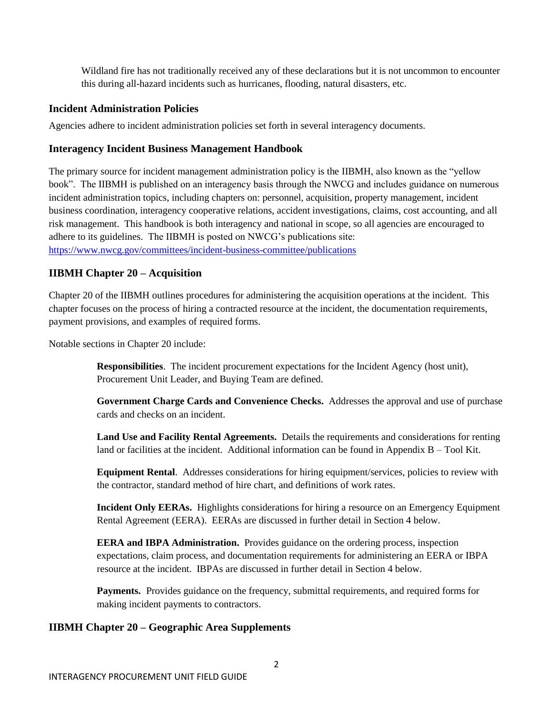Wildland fire has not traditionally received any of these declarations but it is not uncommon to encounter this during all-hazard incidents such as hurricanes, flooding, natural disasters, etc.

## <span id="page-3-0"></span>**Incident Administration Policies**

Agencies adhere to incident administration policies set forth in several interagency documents.

## **Interagency Incident Business Management Handbook**

The primary source for incident management administration policy is the IIBMH, also known as the "yellow book". The IIBMH is published on an interagency basis through the NWCG and includes guidance on numerous incident administration topics, including chapters on: personnel, acquisition, property management, incident business coordination, interagency cooperative relations, accident investigations, claims, cost accounting, and all risk management. This handbook is both interagency and national in scope, so all agencies are encouraged to adhere to its guidelines. The IIBMH is posted on NWCG's publications site: <https://www.nwcg.gov/committees/incident-business-committee/publications>

## **IIBMH Chapter 20 – Acquisition**

Chapter 20 of the IIBMH outlines procedures for administering the acquisition operations at the incident. This chapter focuses on the process of hiring a contracted resource at the incident, the documentation requirements, payment provisions, and examples of required forms.

Notable sections in Chapter 20 include:

**Responsibilities**. The incident procurement expectations for the Incident Agency (host unit), Procurement Unit Leader, and Buying Team are defined.

**Government Charge Cards and Convenience Checks.** Addresses the approval and use of purchase cards and checks on an incident.

**Land Use and Facility Rental Agreements.** Details the requirements and considerations for renting land or facilities at the incident. Additional information can be found in Appendix B – Tool Kit.

**Equipment Rental**. Addresses considerations for hiring equipment/services, policies to review with the contractor, standard method of hire chart, and definitions of work rates.

**Incident Only EERAs.** Highlights considerations for hiring a resource on an Emergency Equipment Rental Agreement (EERA). EERAs are discussed in further detail in Section 4 below.

**EERA and IBPA Administration.** Provides guidance on the ordering process, inspection expectations, claim process, and documentation requirements for administering an EERA or IBPA resource at the incident. IBPAs are discussed in further detail in Section 4 below.

Payments. Provides guidance on the frequency, submittal requirements, and required forms for making incident payments to contractors.

#### **IIBMH Chapter 20 – Geographic Area Supplements**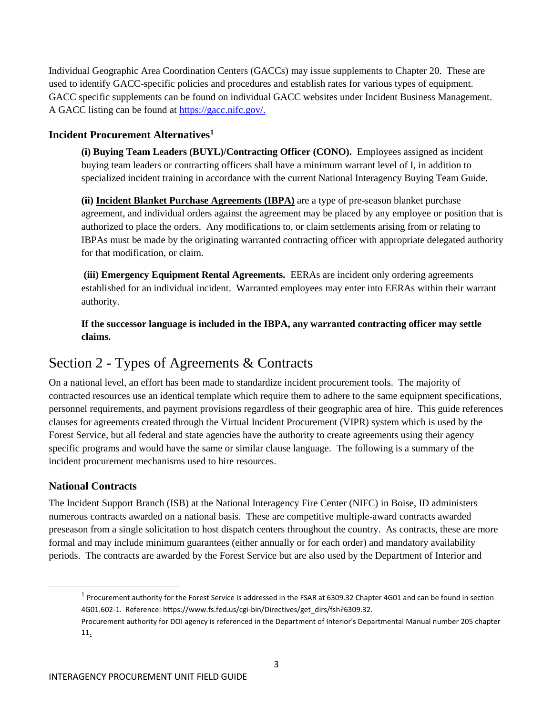Individual Geographic Area Coordination Centers (GACCs) may issue supplements to Chapter 20. These are used to identify GACC-specific policies and procedures and establish rates for various types of equipment. GACC specific supplements can be found on individual GACC websites under Incident Business Management. A GACC listing can be found at [https://gacc.nifc.gov/.](https://gacc.nifc.gov/)

## <span id="page-4-0"></span>**Incident Procurement Alternatives<sup>1</sup>**

**(i) Buying Team Leaders (BUYL)/Contracting Officer (CONO).** Employees assigned as incident buying team leaders or contracting officers shall have a minimum warrant level of I, in addition to specialized incident training in accordance with the current National Interagency Buying Team Guide.

**(ii) Incident Blanket Purchase Agreements (IBPA)** are a type of pre-season blanket purchase agreement, and individual orders against the agreement may be placed by any employee or position that is authorized to place the orders. Any modifications to, or claim settlements arising from or relating to IBPAs must be made by the originating warranted contracting officer with appropriate delegated authority for that modification, or claim.

**(iii) Emergency Equipment Rental Agreements.** EERAs are incident only ordering agreements established for an individual incident. Warranted employees may enter into EERAs within their warrant authority.

**If the successor language is included in the IBPA, any warranted contracting officer may settle claims.**

# <span id="page-4-1"></span>Section 2 - Types of Agreements & Contracts

On a national level, an effort has been made to standardize incident procurement tools. The majority of contracted resources use an identical template which require them to adhere to the same equipment specifications, personnel requirements, and payment provisions regardless of their geographic area of hire. This guide references clauses for agreements created through the Virtual Incident Procurement (VIPR) system which is used by the Forest Service, but all federal and state agencies have the authority to create agreements using their agency specific programs and would have the same or similar clause language. The following is a summary of the incident procurement mechanisms used to hire resources.

## <span id="page-4-2"></span>**National Contracts**

 $\overline{\phantom{a}}$ 

The Incident Support Branch (ISB) at the National Interagency Fire Center (NIFC) in Boise, ID administers numerous contracts awarded on a national basis. These are competitive multiple-award contracts awarded preseason from a single solicitation to host dispatch centers throughout the country. As contracts, these are more formal and may include minimum guarantees (either annually or for each order) and mandatory availability periods. The contracts are awarded by the Forest Service but are also used by the Department of Interior and

 $^1$  Procurement authority for the Forest Service is addressed in the FSAR at 6309.32 Chapter 4G01 and can be found in section 4G01.602-1. Reference[: https://www.fs.fed.us/cgi-bin/Directives/get\\_dirs/fsh?6309.32.](https://www.fs.fed.us/cgi-bin/Directives/get_dirs/fsh?6309.32)  Procurement authority for DOI agency is referenced in the Department of Interior's Departmental Manual number 205 chapter 11.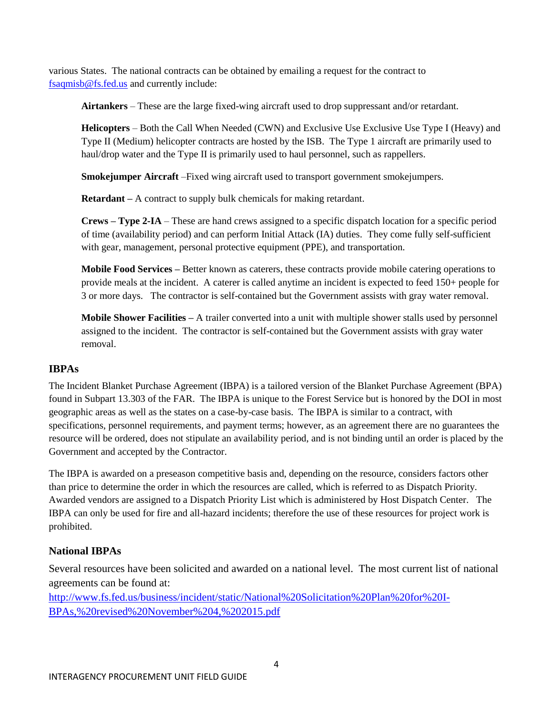various States. The national contracts can be obtained by emailing a request for the contract to [fsaqmisb@fs.fed.us](mailto:fsaqmisb@fs.fed.us) and currently include:

**Airtankers** – These are the large fixed-wing aircraft used to drop suppressant and/or retardant.

**Helicopters** – Both the Call When Needed (CWN) and Exclusive Use Exclusive Use Type I (Heavy) and Type II (Medium) helicopter contracts are hosted by the ISB. The Type 1 aircraft are primarily used to haul/drop water and the Type II is primarily used to haul personnel, such as rappellers.

**Smokejumper Aircraft** –Fixed wing aircraft used to transport government smokejumpers.

**Retardant –** A contract to supply bulk chemicals for making retardant.

**Crews – Type 2-IA** – These are hand crews assigned to a specific dispatch location for a specific period of time (availability period) and can perform Initial Attack (IA) duties. They come fully self-sufficient with gear, management, personal protective equipment (PPE), and transportation.

**Mobile Food Services –** Better known as caterers, these contracts provide mobile catering operations to provide meals at the incident. A caterer is called anytime an incident is expected to feed 150+ people for 3 or more days. The contractor is self-contained but the Government assists with gray water removal.

**Mobile Shower Facilities –** A trailer converted into a unit with multiple shower stalls used by personnel assigned to the incident. The contractor is self-contained but the Government assists with gray water removal.

## <span id="page-5-0"></span>**IBPAs**

The Incident Blanket Purchase Agreement (IBPA) is a tailored version of the Blanket Purchase Agreement (BPA) found in Subpart 13.303 of the FAR. The IBPA is unique to the Forest Service but is honored by the DOI in most geographic areas as well as the states on a case-by-case basis. The IBPA is similar to a contract, with specifications, personnel requirements, and payment terms; however, as an agreement there are no guarantees the resource will be ordered, does not stipulate an availability period, and is not binding until an order is placed by the Government and accepted by the Contractor.

The IBPA is awarded on a preseason competitive basis and, depending on the resource, considers factors other than price to determine the order in which the resources are called, which is referred to as Dispatch Priority. Awarded vendors are assigned to a Dispatch Priority List which is administered by Host Dispatch Center. The IBPA can only be used for fire and all-hazard incidents; therefore the use of these resources for project work is prohibited.

## <span id="page-5-1"></span>**National IBPAs**

Several resources have been solicited and awarded on a national level. The most current list of national agreements can be found at:

[http://www.fs.fed.us/business/incident/static/National%20Solicitation%20Plan%20for%20I-](http://www.fs.fed.us/business/incident/static/National%20Solicitation%20Plan%20for%20I-BPAs,%20revised%20November%204,%202015.pdf)[BPAs,%20revised%20November%204,%202015.pdf](http://www.fs.fed.us/business/incident/static/National%20Solicitation%20Plan%20for%20I-BPAs,%20revised%20November%204,%202015.pdf)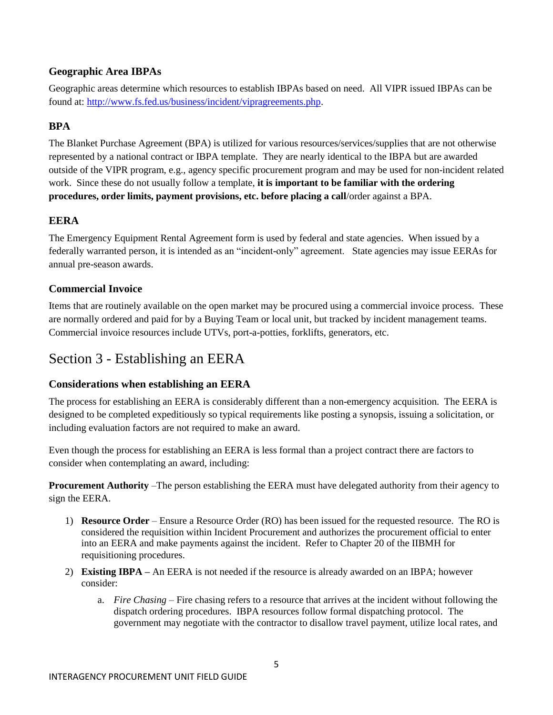## <span id="page-6-0"></span>**Geographic Area IBPAs**

Geographic areas determine which resources to establish IBPAs based on need. All VIPR issued IBPAs can be found at: [http://www.fs.fed.us/business/incident/vipragreements.php.](http://www.fs.fed.us/business/incident/vipragreements.php)

## <span id="page-6-1"></span>**BPA**

The Blanket Purchase Agreement (BPA) is utilized for various resources/services/supplies that are not otherwise represented by a national contract or IBPA template. They are nearly identical to the IBPA but are awarded outside of the VIPR program, e.g., agency specific procurement program and may be used for non-incident related work. Since these do not usually follow a template, **it is important to be familiar with the ordering procedures, order limits, payment provisions, etc. before placing a call**/order against a BPA.

## <span id="page-6-2"></span>**EERA**

The Emergency Equipment Rental Agreement form is used by federal and state agencies. When issued by a federally warranted person, it is intended as an "incident-only" agreement. State agencies may issue EERAs for annual pre-season awards.

## <span id="page-6-3"></span>**Commercial Invoice**

Items that are routinely available on the open market may be procured using a commercial invoice process. These are normally ordered and paid for by a Buying Team or local unit, but tracked by incident management teams. Commercial invoice resources include UTVs, port-a-potties, forklifts, generators, etc.

## <span id="page-6-4"></span>Section 3 - Establishing an EERA

## <span id="page-6-5"></span>**Considerations when establishing an EERA**

The process for establishing an EERA is considerably different than a non-emergency acquisition. The EERA is designed to be completed expeditiously so typical requirements like posting a synopsis, issuing a solicitation, or including evaluation factors are not required to make an award.

Even though the process for establishing an EERA is less formal than a project contract there are factors to consider when contemplating an award, including:

**Procurement Authority** –The person establishing the EERA must have delegated authority from their agency to sign the EERA.

- 1) **Resource Order** Ensure a Resource Order (RO) has been issued for the requested resource. The RO is considered the requisition within Incident Procurement and authorizes the procurement official to enter into an EERA and make payments against the incident. Refer to Chapter 20 of the IIBMH for requisitioning procedures.
- 2) **Existing IBPA –** An EERA is not needed if the resource is already awarded on an IBPA; however consider:
	- a. *Fire Chasing* Fire chasing refers to a resource that arrives at the incident without following the dispatch ordering procedures. IBPA resources follow formal dispatching protocol. The government may negotiate with the contractor to disallow travel payment, utilize local rates, and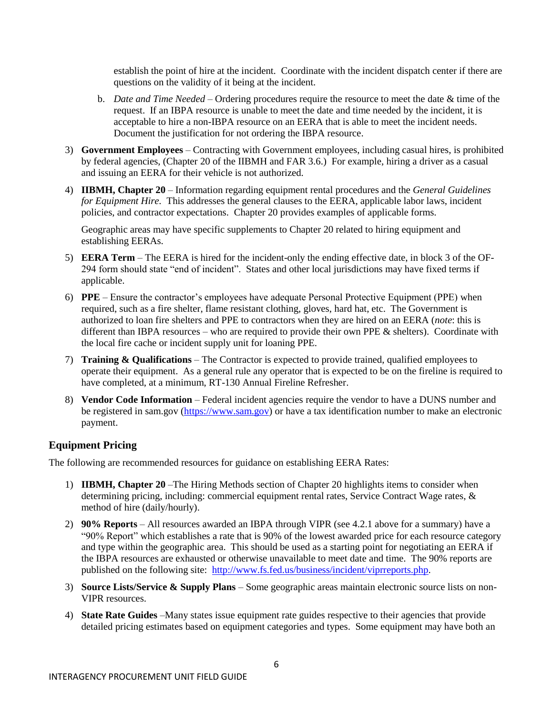establish the point of hire at the incident. Coordinate with the incident dispatch center if there are questions on the validity of it being at the incident.

- b. *Date and Time Needed* Ordering procedures require the resource to meet the date & time of the request. If an IBPA resource is unable to meet the date and time needed by the incident, it is acceptable to hire a non-IBPA resource on an EERA that is able to meet the incident needs. Document the justification for not ordering the IBPA resource.
- 3) **Government Employees** Contracting with Government employees, including casual hires, is prohibited by federal agencies, (Chapter 20 of the IIBMH and FAR 3.6.) For example, hiring a driver as a casual and issuing an EERA for their vehicle is not authorized.
- 4) **IIBMH, Chapter 20** Information regarding equipment rental procedures and the *General Guidelines for Equipment Hire.* This addresses the general clauses to the EERA, applicable labor laws, incident policies, and contractor expectations. Chapter 20 provides examples of applicable forms.

Geographic areas may have specific supplements to Chapter 20 related to hiring equipment and establishing EERAs.

- 5) **EERA Term** The EERA is hired for the incident-only the ending effective date, in block 3 of the OF-294 form should state "end of incident". States and other local jurisdictions may have fixed terms if applicable.
- 6) **PPE**  Ensure the contractor's employees have adequate Personal Protective Equipment (PPE) when required, such as a fire shelter, flame resistant clothing, gloves, hard hat, etc. The Government is authorized to loan fire shelters and PPE to contractors when they are hired on an EERA (*note*: this is different than IBPA resources – who are required to provide their own PPE & shelters). Coordinate with the local fire cache or incident supply unit for loaning PPE.
- 7) **Training & Qualifications** The Contractor is expected to provide trained, qualified employees to operate their equipment. As a general rule any operator that is expected to be on the fireline is required to have completed, at a minimum, RT-130 Annual Fireline Refresher.
- 8) **Vendor Code Information** Federal incident agencies require the vendor to have a DUNS number and be registered in sam.gov [\(https://www.sam.gov\)](https://www.sam.gov/) or have a tax identification number to make an electronic payment.

## <span id="page-7-0"></span>**Equipment Pricing**

The following are recommended resources for guidance on establishing EERA Rates:

- 1) **IIBMH, Chapter 20** –The Hiring Methods section of Chapter 20 highlights items to consider when determining pricing, including: commercial equipment rental rates, Service Contract Wage rates, & method of hire (daily/hourly).
- 2) **90% Reports** All resources awarded an IBPA through VIPR (see 4.2.1 above for a summary) have a "90% Report" which establishes a rate that is 90% of the lowest awarded price for each resource category and type within the geographic area. This should be used as a starting point for negotiating an EERA if the IBPA resources are exhausted or otherwise unavailable to meet date and time. The 90% reports are published on the following site: [http://www.fs.fed.us/business/incident/viprreports.php.](http://www.fs.fed.us/business/incident/viprreports.php)
- 3) **Source Lists/Service & Supply Plans**  Some geographic areas maintain electronic source lists on non-VIPR resources.
- 4) **State Rate Guides** –Many states issue equipment rate guides respective to their agencies that provide detailed pricing estimates based on equipment categories and types. Some equipment may have both an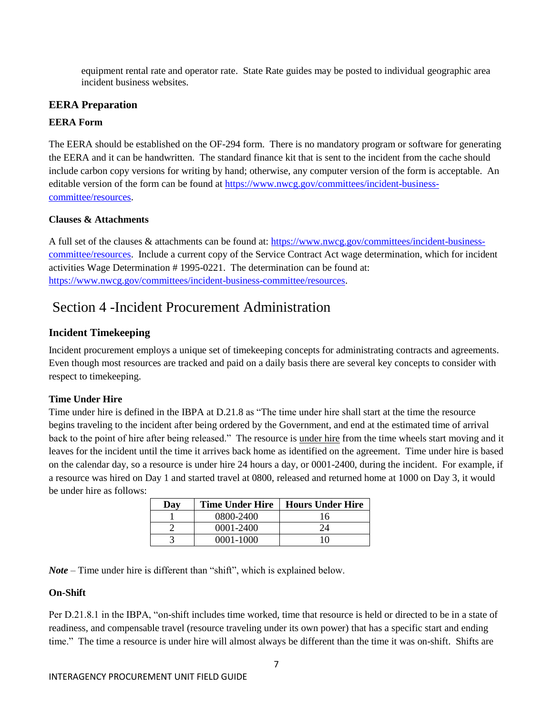equipment rental rate and operator rate. State Rate guides may be posted to individual geographic area incident business websites.

## <span id="page-8-0"></span>**EERA Preparation**

## **EERA Form**

The EERA should be established on the OF-294 form. There is no mandatory program or software for generating the EERA and it can be handwritten. The standard finance kit that is sent to the incident from the cache should include carbon copy versions for writing by hand; otherwise, any computer version of the form is acceptable. An editable version of the form can be found at [https://www.nwcg.gov/committees/incident-business](https://www.nwcg.gov/committees/incident-business-committee/resources)[committee/resources.](https://www.nwcg.gov/committees/incident-business-committee/resources)

## **Clauses & Attachments**

A full set of the clauses & attachments can be found at: [https://www.nwcg.gov/committees/incident-business](https://www.nwcg.gov/committees/incident-business-committee/resources)[committee/resources.](https://www.nwcg.gov/committees/incident-business-committee/resources) Include a current copy of the Service Contract Act wage determination, which for incident activities Wage Determination # 1995-0221. The determination can be found at: [https://www.nwcg.gov/committees/incident-business-committee/resources.](https://www.nwcg.gov/committees/incident-business-committee/resources)

# <span id="page-8-1"></span>Section 4 -Incident Procurement Administration

## <span id="page-8-2"></span>**Incident Timekeeping**

Incident procurement employs a unique set of timekeeping concepts for administrating contracts and agreements. Even though most resources are tracked and paid on a daily basis there are several key concepts to consider with respect to timekeeping.

## **Time Under Hire**

Time under hire is defined in the IBPA at D.21.8 as "The time under hire shall start at the time the resource begins traveling to the incident after being ordered by the Government, and end at the estimated time of arrival back to the point of hire after being released." The resource is <u>under hire</u> from the time wheels start moving and it leaves for the incident until the time it arrives back home as identified on the agreement. Time under hire is based on the calendar day, so a resource is under hire 24 hours a day, or 0001-2400, during the incident. For example, if a resource was hired on Day 1 and started travel at 0800, released and returned home at 1000 on Day 3, it would be under hire as follows:

| Day | <b>Time Under Hire</b> | <b>Hours Under Hire</b> |
|-----|------------------------|-------------------------|
|     | 0800-2400              | 16                      |
|     | $0001 - 2400$          | 7Δ                      |
|     | 0001-1000              |                         |

*Note* – Time under hire is different than "shift", which is explained below.

## **On-Shift**

Per D.21.8.1 in the IBPA, "on-shift includes time worked, time that resource is held or directed to be in a state of readiness, and compensable travel (resource traveling under its own power) that has a specific start and ending time." The time a resource is under hire will almost always be different than the time it was on-shift. Shifts are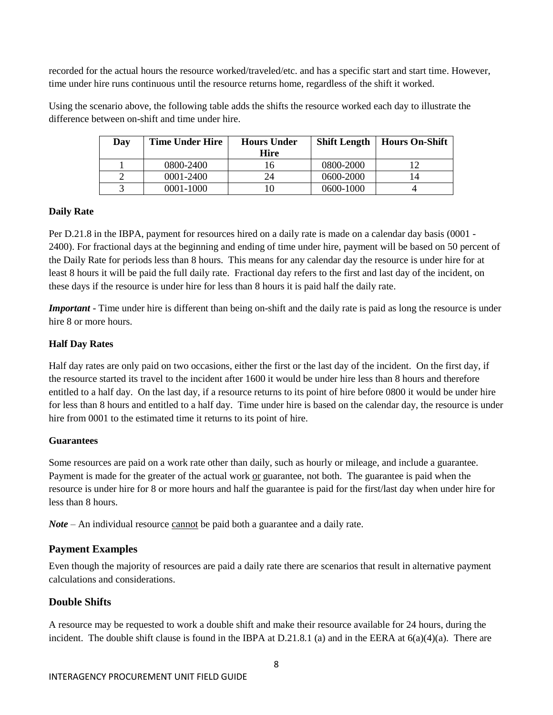recorded for the actual hours the resource worked/traveled/etc. and has a specific start and start time. However, time under hire runs continuous until the resource returns home, regardless of the shift it worked.

Using the scenario above, the following table adds the shifts the resource worked each day to illustrate the difference between on-shift and time under hire.

| Day | <b>Time Under Hire</b> | <b>Hours Under</b><br><b>Hire</b> | Shift Length | Hours On-Shift |
|-----|------------------------|-----------------------------------|--------------|----------------|
|     | 0800-2400              | 16                                | 0800-2000    |                |
|     | 0001-2400              | 24                                | 0600-2000    |                |
|     | 0001-1000              |                                   | 0600-1000    |                |

## **Daily Rate**

Per D.21.8 in the IBPA, payment for resources hired on a daily rate is made on a calendar day basis (0001 - 2400). For fractional days at the beginning and ending of time under hire, payment will be based on 50 percent of the Daily Rate for periods less than 8 hours. This means for any calendar day the resource is under hire for at least 8 hours it will be paid the full daily rate. Fractional day refers to the first and last day of the incident, on these days if the resource is under hire for less than 8 hours it is paid half the daily rate.

*Important* - Time under hire is different than being on-shift and the daily rate is paid as long the resource is under hire 8 or more hours.

#### **Half Day Rates**

Half day rates are only paid on two occasions, either the first or the last day of the incident. On the first day, if the resource started its travel to the incident after 1600 it would be under hire less than 8 hours and therefore entitled to a half day. On the last day, if a resource returns to its point of hire before 0800 it would be under hire for less than 8 hours and entitled to a half day. Time under hire is based on the calendar day, the resource is under hire from 0001 to the estimated time it returns to its point of hire.

#### **Guarantees**

Some resources are paid on a work rate other than daily, such as hourly or mileage, and include a guarantee. Payment is made for the greater of the actual work or guarantee, not both. The guarantee is paid when the resource is under hire for 8 or more hours and half the guarantee is paid for the first/last day when under hire for less than 8 hours.

*Note* – An individual resource cannot be paid both a guarantee and a daily rate.

## <span id="page-9-0"></span>**Payment Examples**

Even though the majority of resources are paid a daily rate there are scenarios that result in alternative payment calculations and considerations.

## **Double Shifts**

A resource may be requested to work a double shift and make their resource available for 24 hours, during the incident. The double shift clause is found in the IBPA at D.21.8.1 (a) and in the EERA at  $6(a)(4)(a)$ . There are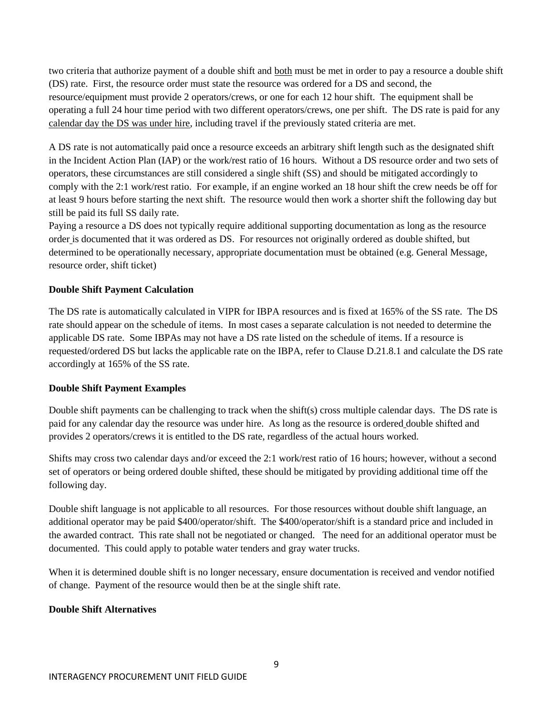two criteria that authorize payment of a double shift and both must be met in order to pay a resource a double shift (DS) rate. First, the resource order must state the resource was ordered for a DS and second, the resource/equipment must provide 2 operators/crews, or one for each 12 hour shift. The equipment shall be operating a full 24 hour time period with two different operators/crews, one per shift. The DS rate is paid for any calendar day the DS was under hire, including travel if the previously stated criteria are met.

A DS rate is not automatically paid once a resource exceeds an arbitrary shift length such as the designated shift in the Incident Action Plan (IAP) or the work/rest ratio of 16 hours. Without a DS resource order and two sets of operators, these circumstances are still considered a single shift (SS) and should be mitigated accordingly to comply with the 2:1 work/rest ratio. For example, if an engine worked an 18 hour shift the crew needs be off for at least 9 hours before starting the next shift. The resource would then work a shorter shift the following day but still be paid its full SS daily rate.

Paying a resource a DS does not typically require additional supporting documentation as long as the resource order is documented that it was ordered as DS. For resources not originally ordered as double shifted, but determined to be operationally necessary, appropriate documentation must be obtained (e.g. General Message, resource order, shift ticket)

## **Double Shift Payment Calculation**

The DS rate is automatically calculated in VIPR for IBPA resources and is fixed at 165% of the SS rate. The DS rate should appear on the schedule of items. In most cases a separate calculation is not needed to determine the applicable DS rate. Some IBPAs may not have a DS rate listed on the schedule of items. If a resource is requested/ordered DS but lacks the applicable rate on the IBPA, refer to Clause D.21.8.1 and calculate the DS rate accordingly at 165% of the SS rate.

#### **Double Shift Payment Examples**

Double shift payments can be challenging to track when the shift(s) cross multiple calendar days. The DS rate is paid for any calendar day the resource was under hire. As long as the resource is ordered double shifted and provides 2 operators/crews it is entitled to the DS rate, regardless of the actual hours worked.

Shifts may cross two calendar days and/or exceed the 2:1 work/rest ratio of 16 hours; however, without a second set of operators or being ordered double shifted, these should be mitigated by providing additional time off the following day.

Double shift language is not applicable to all resources. For those resources without double shift language, an additional operator may be paid \$400/operator/shift. The \$400/operator/shift is a standard price and included in the awarded contract. This rate shall not be negotiated or changed. The need for an additional operator must be documented. This could apply to potable water tenders and gray water trucks.

When it is determined double shift is no longer necessary, ensure documentation is received and vendor notified of change. Payment of the resource would then be at the single shift rate.

#### **Double Shift Alternatives**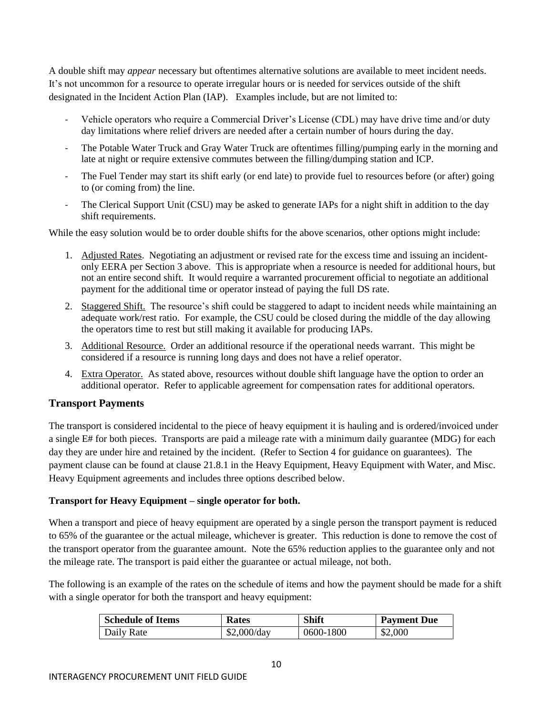A double shift may *appear* necessary but oftentimes alternative solutions are available to meet incident needs. It's not uncommon for a resource to operate irregular hours or is needed for services outside of the shift designated in the Incident Action Plan (IAP). Examples include, but are not limited to:

- Vehicle operators who require a Commercial Driver's License (CDL) may have drive time and/or duty day limitations where relief drivers are needed after a certain number of hours during the day.
- The Potable Water Truck and Gray Water Truck are oftentimes filling/pumping early in the morning and late at night or require extensive commutes between the filling/dumping station and ICP.
- The Fuel Tender may start its shift early (or end late) to provide fuel to resources before (or after) going to (or coming from) the line.
- The Clerical Support Unit (CSU) may be asked to generate IAPs for a night shift in addition to the day shift requirements.

While the easy solution would be to order double shifts for the above scenarios, other options might include:

- 1. Adjusted Rates. Negotiating an adjustment or revised rate for the excess time and issuing an incidentonly EERA per Section 3 above. This is appropriate when a resource is needed for additional hours, but not an entire second shift. It would require a warranted procurement official to negotiate an additional payment for the additional time or operator instead of paying the full DS rate.
- 2. Staggered Shift. The resource's shift could be staggered to adapt to incident needs while maintaining an adequate work/rest ratio. For example, the CSU could be closed during the middle of the day allowing the operators time to rest but still making it available for producing IAPs.
- 3. Additional Resource. Order an additional resource if the operational needs warrant. This might be considered if a resource is running long days and does not have a relief operator.
- 4. Extra Operator. As stated above, resources without double shift language have the option to order an additional operator. Refer to applicable agreement for compensation rates for additional operators.

## **Transport Payments**

The transport is considered incidental to the piece of heavy equipment it is hauling and is ordered/invoiced under a single E# for both pieces. Transports are paid a mileage rate with a minimum daily guarantee (MDG) for each day they are under hire and retained by the incident. (Refer to Section 4 for guidance on guarantees). The payment clause can be found at clause 21.8.1 in the Heavy Equipment, Heavy Equipment with Water, and Misc. Heavy Equipment agreements and includes three options described below.

## **Transport for Heavy Equipment – single operator for both.**

When a transport and piece of heavy equipment are operated by a single person the transport payment is reduced to 65% of the guarantee or the actual mileage, whichever is greater. This reduction is done to remove the cost of the transport operator from the guarantee amount. Note the 65% reduction applies to the guarantee only and not the mileage rate. The transport is paid either the guarantee or actual mileage, not both.

The following is an example of the rates on the schedule of items and how the payment should be made for a shift with a single operator for both the transport and heavy equipment:

| <b>Schedule of Items</b> | Rates       | <b>Shift</b> | <b>Payment Due</b> |
|--------------------------|-------------|--------------|--------------------|
| Daily Rate               | \$2,000/day | 0600-1800    | \$2,000            |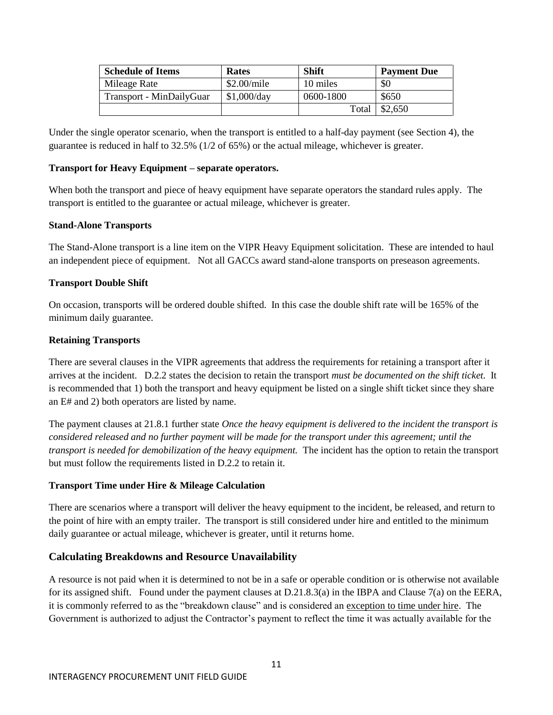| <b>Schedule of Items</b> | Rates       | <b>Shift</b> | <b>Payment Due</b> |
|--------------------------|-------------|--------------|--------------------|
| Mileage Rate             | \$2.00/mile | 10 miles     | \$0                |
| Transport - MinDailyGuar | \$1,000/day | 0600-1800    | \$650              |
|                          |             | Total        | \$2,650            |

Under the single operator scenario, when the transport is entitled to a half-day payment (see Section 4), the guarantee is reduced in half to 32.5% (1/2 of 65%) or the actual mileage, whichever is greater.

#### **Transport for Heavy Equipment – separate operators.**

When both the transport and piece of heavy equipment have separate operators the standard rules apply. The transport is entitled to the guarantee or actual mileage, whichever is greater.

## **Stand-Alone Transports**

The Stand-Alone transport is a line item on the VIPR Heavy Equipment solicitation. These are intended to haul an independent piece of equipment. Not all GACCs award stand-alone transports on preseason agreements.

## **Transport Double Shift**

On occasion, transports will be ordered double shifted. In this case the double shift rate will be 165% of the minimum daily guarantee.

## **Retaining Transports**

There are several clauses in the VIPR agreements that address the requirements for retaining a transport after it arrives at the incident. D.2.2 states the decision to retain the transport *must be documented on the shift ticket.* It is recommended that 1) both the transport and heavy equipment be listed on a single shift ticket since they share an E# and 2) both operators are listed by name.

The payment clauses at 21.8.1 further state *Once the heavy equipment is delivered to the incident the transport is considered released and no further payment will be made for the transport under this agreement; until the transport is needed for demobilization of the heavy equipment.* The incident has the option to retain the transport but must follow the requirements listed in D.2.2 to retain it.

## **Transport Time under Hire & Mileage Calculation**

There are scenarios where a transport will deliver the heavy equipment to the incident, be released, and return to the point of hire with an empty trailer. The transport is still considered under hire and entitled to the minimum daily guarantee or actual mileage, whichever is greater, until it returns home.

## **Calculating Breakdowns and Resource Unavailability**

A resource is not paid when it is determined to not be in a safe or operable condition or is otherwise not available for its assigned shift. Found under the payment clauses at D.21.8.3(a) in the IBPA and Clause 7(a) on the EERA, it is commonly referred to as the "breakdown clause" and is considered an exception to time under hire. The Government is authorized to adjust the Contractor's payment to reflect the time it was actually available for the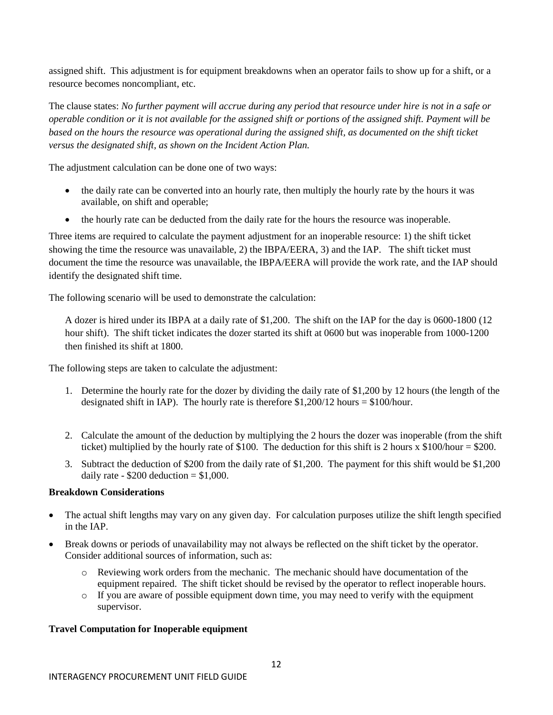assigned shift. This adjustment is for equipment breakdowns when an operator fails to show up for a shift, or a resource becomes noncompliant, etc.

The clause states: *No further payment will accrue during any period that resource under hire is not in a safe or operable condition or it is not available for the assigned shift or portions of the assigned shift. Payment will be based on the hours the resource was operational during the assigned shift, as documented on the shift ticket versus the designated shift, as shown on the Incident Action Plan.*

The adjustment calculation can be done one of two ways:

- the daily rate can be converted into an hourly rate, then multiply the hourly rate by the hours it was available, on shift and operable;
- the hourly rate can be deducted from the daily rate for the hours the resource was inoperable.

Three items are required to calculate the payment adjustment for an inoperable resource: 1) the shift ticket showing the time the resource was unavailable, 2) the IBPA/EERA, 3) and the IAP. The shift ticket must document the time the resource was unavailable, the IBPA/EERA will provide the work rate, and the IAP should identify the designated shift time.

The following scenario will be used to demonstrate the calculation:

A dozer is hired under its IBPA at a daily rate of \$1,200. The shift on the IAP for the day is 0600-1800 (12 hour shift). The shift ticket indicates the dozer started its shift at 0600 but was inoperable from 1000-1200 then finished its shift at 1800.

The following steps are taken to calculate the adjustment:

- 1. Determine the hourly rate for the dozer by dividing the daily rate of \$1,200 by 12 hours (the length of the designated shift in IAP). The hourly rate is therefore \$1,200/12 hours = \$100/hour.
- 2. Calculate the amount of the deduction by multiplying the 2 hours the dozer was inoperable (from the shift ticket) multiplied by the hourly rate of \$100. The deduction for this shift is 2 hours  $\bar{x}$  \$100/hour = \$200.
- 3. Subtract the deduction of \$200 from the daily rate of \$1,200. The payment for this shift would be \$1,200 daily rate -  $$200$  deduction =  $$1,000$ .

#### **Breakdown Considerations**

- The actual shift lengths may vary on any given day. For calculation purposes utilize the shift length specified in the IAP.
- Break downs or periods of unavailability may not always be reflected on the shift ticket by the operator. Consider additional sources of information, such as:
	- o Reviewing work orders from the mechanic. The mechanic should have documentation of the equipment repaired. The shift ticket should be revised by the operator to reflect inoperable hours.
	- o If you are aware of possible equipment down time, you may need to verify with the equipment supervisor.

#### **Travel Computation for Inoperable equipment**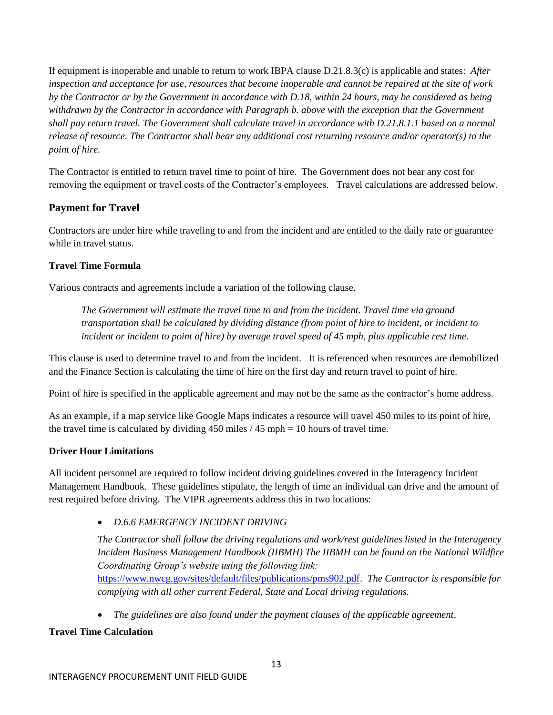If equipment is inoperable and unable to return to work IBPA clause D.21.8.3(c) is applicable and states: *After inspection and acceptance for use, resources that become inoperable and cannot be repaired at the site of work by the Contractor or by the Government in accordance with D.18, within 24 hours, may be considered as being withdrawn by the Contractor in accordance with Paragraph b. above with the exception that the Government shall pay return travel. The Government shall calculate travel in accordance with D.21.8.1.1 based on a normal release of resource. The Contractor shall bear any additional cost returning resource and/or operator(s) to the point of hire.*

The Contractor is entitled to return travel time to point of hire. The Government does not bear any cost for removing the equipment or travel costs of the Contractor's employees. Travel calculations are addressed below.

## **Payment for Travel**

Contractors are under hire while traveling to and from the incident and are entitled to the daily rate or guarantee while in travel status.

## **Travel Time Formula**

Various contracts and agreements include a variation of the following clause.

*The Government will estimate the travel time to and from the incident. Travel time via ground transportation shall be calculated by dividing distance (from point of hire to incident, or incident to incident or incident to point of hire) by average travel speed of 45 mph, plus applicable rest time.*

This clause is used to determine travel to and from the incident. It is referenced when resources are demobilized and the Finance Section is calculating the time of hire on the first day and return travel to point of hire.

Point of hire is specified in the applicable agreement and may not be the same as the contractor's home address.

As an example, if a map service like Google Maps indicates a resource will travel 450 miles to its point of hire, the travel time is calculated by dividing  $450$  miles  $/45$  mph = 10 hours of travel time.

## **Driver Hour Limitations**

All incident personnel are required to follow incident driving guidelines covered in the Interagency Incident Management Handbook. These guidelines stipulate, the length of time an individual can drive and the amount of rest required before driving. The VIPR agreements address this in two locations:

*D.6.6 EMERGENCY INCIDENT DRIVING*

*The Contractor shall follow the driving regulations and work/rest guidelines listed in the Interagency Incident Business Management Handbook (IIBMH) The IIBMH can be found on the National Wildfire Coordinating Group's website using the following link:*  [https://www.nwcg.gov/sites/default/files/publications/pms902.pdf.](https://www.nwcg.gov/sites/default/files/publications/pms902.pdf) *The Contractor is responsible for complying with all other current Federal, State and Local driving regulations.*

*The guidelines are also found under the payment clauses of the applicable agreement*.

## **Travel Time Calculation**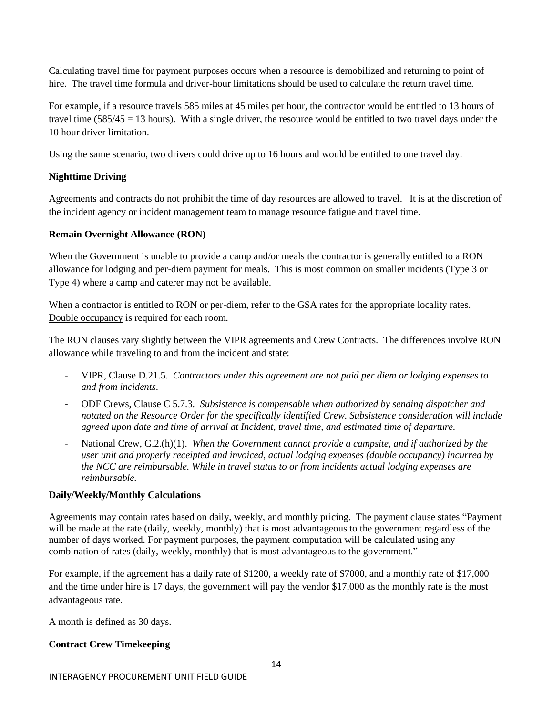Calculating travel time for payment purposes occurs when a resource is demobilized and returning to point of hire. The travel time formula and driver-hour limitations should be used to calculate the return travel time.

For example, if a resource travels 585 miles at 45 miles per hour, the contractor would be entitled to 13 hours of travel time  $(585/45 = 13$  hours). With a single driver, the resource would be entitled to two travel days under the 10 hour driver limitation.

Using the same scenario, two drivers could drive up to 16 hours and would be entitled to one travel day.

## **Nighttime Driving**

Agreements and contracts do not prohibit the time of day resources are allowed to travel. It is at the discretion of the incident agency or incident management team to manage resource fatigue and travel time.

## **Remain Overnight Allowance (RON)**

When the Government is unable to provide a camp and/or meals the contractor is generally entitled to a RON allowance for lodging and per-diem payment for meals. This is most common on smaller incidents (Type 3 or Type 4) where a camp and caterer may not be available.

When a contractor is entitled to RON or per-diem, refer to the GSA rates for the appropriate locality rates. Double occupancy is required for each room.

The RON clauses vary slightly between the VIPR agreements and Crew Contracts. The differences involve RON allowance while traveling to and from the incident and state:

- VIPR, Clause D.21.5. *Contractors under this agreement are not paid per diem or lodging expenses to and from incidents*.
- ODF Crews, Clause C 5.7.3. *Subsistence is compensable when authorized by sending dispatcher and notated on the Resource Order for the specifically identified Crew. Subsistence consideration will include agreed upon date and time of arrival at Incident, travel time, and estimated time of departure.*
- National Crew, G.2.(h)(1). *When the Government cannot provide a campsite, and if authorized by the user unit and properly receipted and invoiced, actual lodging expenses (double occupancy) incurred by the NCC are reimbursable. While in travel status to or from incidents actual lodging expenses are reimbursable.*

#### **Daily/Weekly/Monthly Calculations**

Agreements may contain rates based on daily, weekly, and monthly pricing. The payment clause states "Payment will be made at the rate (daily, weekly, monthly) that is most advantageous to the government regardless of the number of days worked. For payment purposes, the payment computation will be calculated using any combination of rates (daily, weekly, monthly) that is most advantageous to the government."

For example, if the agreement has a daily rate of \$1200, a weekly rate of \$7000, and a monthly rate of \$17,000 and the time under hire is 17 days, the government will pay the vendor \$17,000 as the monthly rate is the most advantageous rate.

A month is defined as 30 days.

## **Contract Crew Timekeeping**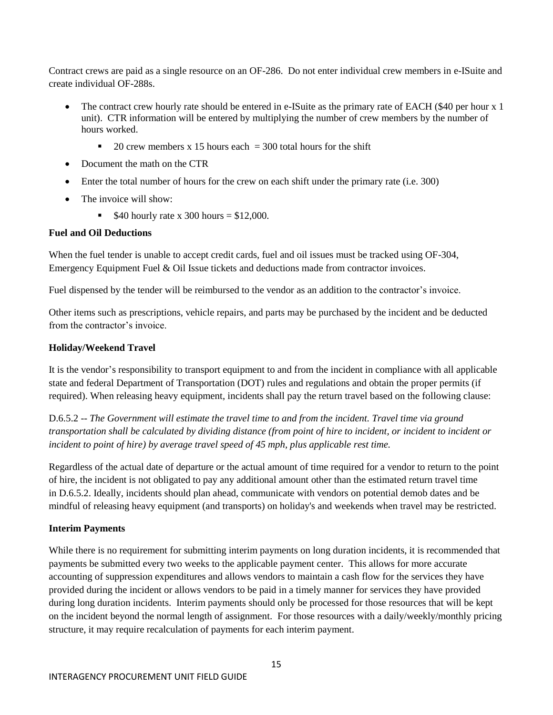Contract crews are paid as a single resource on an OF-286. Do not enter individual crew members in e-ISuite and create individual OF-288s.

- The contract crew hourly rate should be entered in e-ISuite as the primary rate of EACH (\$40 per hour x 1) unit). CTR information will be entered by multiplying the number of crew members by the number of hours worked.
	- 20 crew members x 15 hours each  $=$  300 total hours for the shift
- Document the math on the CTR
- Enter the total number of hours for the crew on each shift under the primary rate (i.e. 300)
- The invoice will show:
	- **540 hourly rate x 300 hours = \$12,000.**

## **Fuel and Oil Deductions**

When the fuel tender is unable to accept credit cards, fuel and oil issues must be tracked using OF-304, Emergency Equipment Fuel & Oil Issue tickets and deductions made from contractor invoices.

Fuel dispensed by the tender will be reimbursed to the vendor as an addition to the contractor's invoice.

Other items such as prescriptions, vehicle repairs, and parts may be purchased by the incident and be deducted from the contractor's invoice.

## **Holiday/Weekend Travel**

It is the vendor's responsibility to transport equipment to and from the incident in compliance with all applicable state and federal Department of Transportation (DOT) rules and regulations and obtain the proper permits (if required). When releasing heavy equipment, incidents shall pay the return travel based on the following clause:

D.6.5.2 -- *The Government will estimate the travel time to and from the incident. Travel time via ground transportation shall be calculated by dividing distance (from point of hire to incident, or incident to incident or incident to point of hire) by average travel speed of 45 mph, plus applicable rest time.*

Regardless of the actual date of departure or the actual amount of time required for a vendor to return to the point of hire, the incident is not obligated to pay any additional amount other than the estimated return travel time in D.6.5.2. Ideally, incidents should plan ahead, communicate with vendors on potential demob dates and be mindful of releasing heavy equipment (and transports) on holiday's and weekends when travel may be restricted.

## **Interim Payments**

While there is no requirement for submitting interim payments on long duration incidents, it is recommended that payments be submitted every two weeks to the applicable payment center. This allows for more accurate accounting of suppression expenditures and allows vendors to maintain a cash flow for the services they have provided during the incident or allows vendors to be paid in a timely manner for services they have provided during long duration incidents. Interim payments should only be processed for those resources that will be kept on the incident beyond the normal length of assignment. For those resources with a daily/weekly/monthly pricing structure, it may require recalculation of payments for each interim payment.